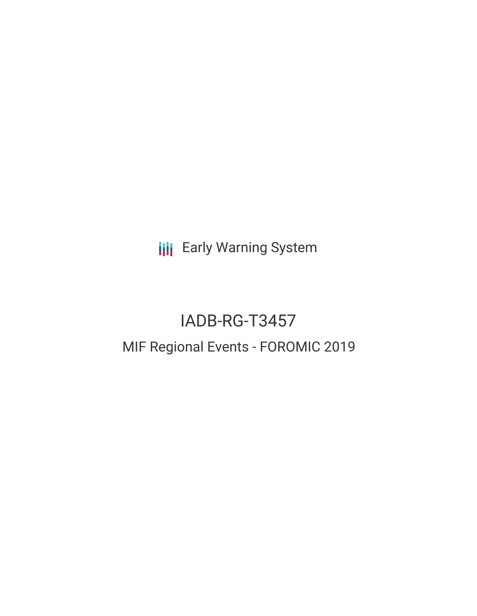**III** Early Warning System

# IADB-RG-T3457 MIF Regional Events - FOROMIC 2019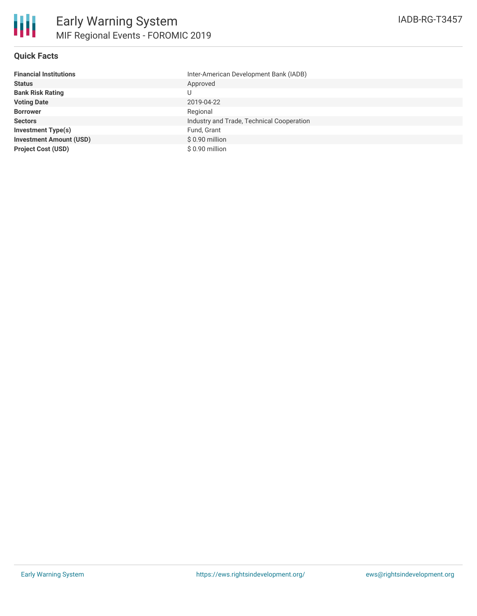

### **Quick Facts**

| <b>Financial Institutions</b>  | Inter-American Development Bank (IADB)    |
|--------------------------------|-------------------------------------------|
| <b>Status</b>                  | Approved                                  |
| <b>Bank Risk Rating</b>        |                                           |
| <b>Voting Date</b>             | 2019-04-22                                |
| <b>Borrower</b>                | Regional                                  |
| <b>Sectors</b>                 | Industry and Trade, Technical Cooperation |
| <b>Investment Type(s)</b>      | Fund, Grant                               |
| <b>Investment Amount (USD)</b> | $$0.90$ million                           |
| <b>Project Cost (USD)</b>      | \$ 0.90 million                           |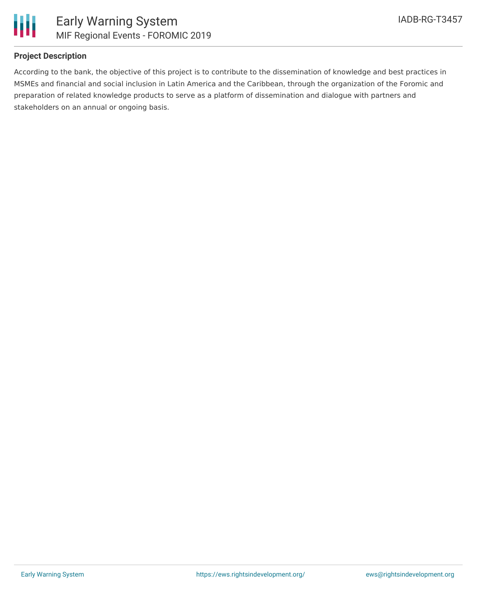

## **Project Description**

According to the bank, the objective of this project is to contribute to the dissemination of knowledge and best practices in MSMEs and financial and social inclusion in Latin America and the Caribbean, through the organization of the Foromic and preparation of related knowledge products to serve as a platform of dissemination and dialogue with partners and stakeholders on an annual or ongoing basis.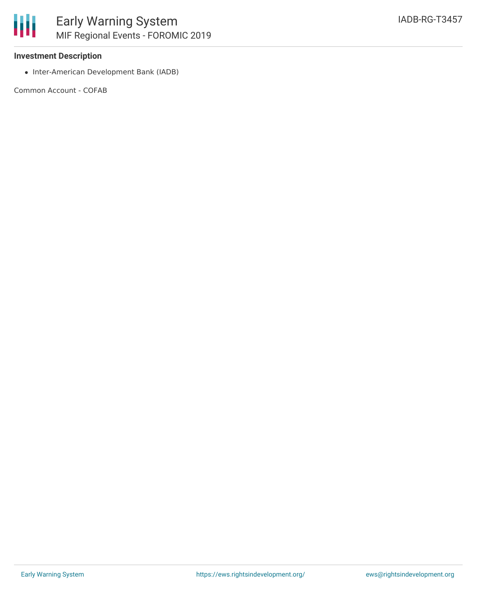### **Investment Description**

• Inter-American Development Bank (IADB)

Common Account - COFAB